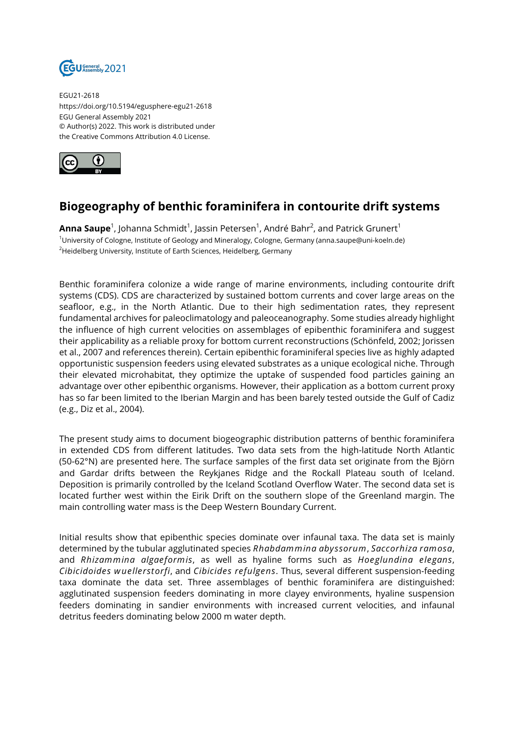

EGU21-2618 https://doi.org/10.5194/egusphere-egu21-2618 EGU General Assembly 2021 © Author(s) 2022. This work is distributed under the Creative Commons Attribution 4.0 License.



## **Biogeography of benthic foraminifera in contourite drift systems**

**Anna Saupe** $^1$ **,** Johanna Schmidt $^1$ , Jassin Petersen $^1$ , André Bahr $^2$ , and Patrick Grunert $^1$ <sup>1</sup>University of Cologne, Institute of Geology and Mineralogy, Cologne, Germany (anna.saupe@uni-koeln.de) <sup>2</sup>Heidelberg University, Institute of Earth Sciences, Heidelberg, Germany

Benthic foraminifera colonize a wide range of marine environments, including contourite drift systems (CDS). CDS are characterized by sustained bottom currents and cover large areas on the seafloor, e.g., in the North Atlantic. Due to their high sedimentation rates, they represent fundamental archives for paleoclimatology and paleoceanography. Some studies already highlight the influence of high current velocities on assemblages of epibenthic foraminifera and suggest their applicability as a reliable proxy for bottom current reconstructions (Schönfeld, 2002; Jorissen et al., 2007 and references therein). Certain epibenthic foraminiferal species live as highly adapted opportunistic suspension feeders using elevated substrates as a unique ecological niche. Through their elevated microhabitat, they optimize the uptake of suspended food particles gaining an advantage over other epibenthic organisms. However, their application as a bottom current proxy has so far been limited to the Iberian Margin and has been barely tested outside the Gulf of Cadiz (e.g., Diz et al., 2004).

The present study aims to document biogeographic distribution patterns of benthic foraminifera in extended CDS from different latitudes. Two data sets from the high-latitude North Atlantic (50-62°N) are presented here. The surface samples of the first data set originate from the Björn and Gardar drifts between the Reykjanes Ridge and the Rockall Plateau south of Iceland. Deposition is primarily controlled by the Iceland Scotland Overflow Water. The second data set is located further west within the Eirik Drift on the southern slope of the Greenland margin. The main controlling water mass is the Deep Western Boundary Current.

Initial results show that epibenthic species dominate over infaunal taxa. The data set is mainly determined by the tubular agglutinated species *Rhabdammina abyssorum*, *Saccorhiza ramosa*, and *Rhizammina algaeformis*, as well as hyaline forms such as *Hoeglundina elegans*, *Cibicidoides wuellerstorfi*, and *Cibicides refulgens*. Thus, several different suspension-feeding taxa dominate the data set. Three assemblages of benthic foraminifera are distinguished: agglutinated suspension feeders dominating in more clayey environments, hyaline suspension feeders dominating in sandier environments with increased current velocities, and infaunal detritus feeders dominating below 2000 m water depth.